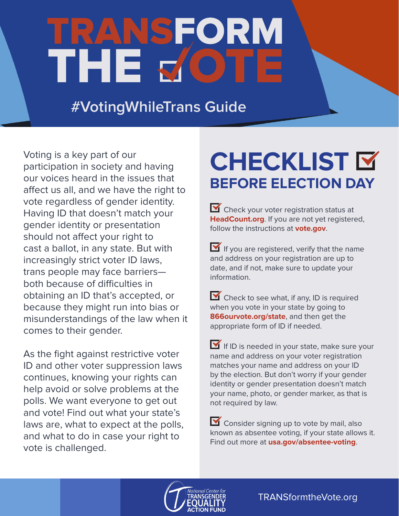# RANSFORM THE 5

**#VotingWhileTrans Guide**

Voting is a key part of our participation in society and having our voices heard in the issues that affect us all, and we have the right to vote regardless of gender identity. Having ID that doesn't match your gender identity or presentation should not affect your right to cast a ballot, in any state. But with increasingly strict voter ID laws, trans people may face barriers both because of difficulties in obtaining an ID that's accepted, or because they might run into bias or misunderstandings of the law when it comes to their gender.

As the fight against restrictive voter ID and other voter suppression laws continues, knowing your rights can help avoid or solve problems at the polls. We want everyone to get out and vote! Find out what your state's laws are, what to expect at the polls, and what to do in case your right to vote is challenged.

### **CHECKLIST BEFORE ELECTION DAY**

Check your voter registration status at **HeadCount.org**. If you are not yet registered, follow the instructions at **vote.gov**.

If you are registered, verify that the name and address on your registration are up to date, and if not, make sure to update your information.

 Check to see what, if any, ID is required when you vote in your state by going to **866ourvote.org/state**, and then get the appropriate form of ID if needed.

If ID is needed in your state, make sure your name and address on your voter registration matches your name and address on your ID by the election. But don't worry if your gender identity or gender presentation doesn't match your name, photo, or gender marker, as that is not required by law.

Consider signing up to vote by mail, also known as absentee voting, if your state allows it. Find out more at **usa.gov/absentee-voting**.